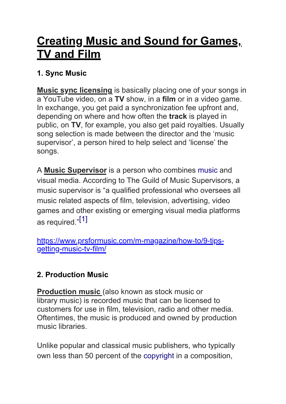# **Creating Music and Sound for Games, TV and Film**

## **1. Sync Music**

**Music sync licensing** is basically placing one of your songs in a YouTube video, on a **TV** show, in a **film** or in a video game. In exchange, you get paid a synchronization fee upfront and, depending on where and how often the **track** is played in public, on **TV**, for example, you also get paid royalties. Usually song selection is made between the director and the 'music supervisor', a person hired to help select and 'license' the songs.

A **Music Supervisor** is a person who combines [music](https://en.wikipedia.org/wiki/Music) and visual media. According to The Guild of Music Supervisors, a music supervisor is "a qualified professional who oversees all music related aspects of film, television, advertising, video games and other existing or emerging visual media platforms as required."[\[1\]](https://en.wikipedia.org/wiki/Music_supervisor#cite_note-Guild_of_Music_Supervisors-1)

[https://www.prsformusic.com/m-magazine/how-to/9-tips](https://www.prsformusic.com/m-magazine/how-to/9-tips-getting-music-tv-film/)[getting-music-tv-film/](https://www.prsformusic.com/m-magazine/how-to/9-tips-getting-music-tv-film/)

## **2. Production Music**

**Production music (also known as stock music or** library music) is recorded music that can be licensed to customers for use in film, television, radio and other media. Oftentimes, the music is produced and owned by production music libraries.

Unlike popular and classical music publishers, who typically own less than 50 percent of the [copyright](https://en.wikipedia.org/wiki/Copyright) in a composition,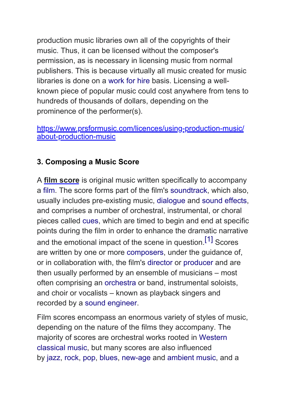production music libraries own all of the copyrights of their music. Thus, it can be licensed without the composer's permission, as is necessary in licensing music from normal publishers. This is because virtually all music created for music libraries is done on a [work for hire](https://en.wikipedia.org/wiki/Work_for_hire) basis. Licensing a wellknown piece of popular music could cost anywhere from tens to hundreds of thousands of dollars, depending on the prominence of the performer(s).

[https://www.prsformusic.com/licences/using-production-music/](https://www.prsformusic.com/licences/using-production-music/about-production-music) [about-production-music](https://www.prsformusic.com/licences/using-production-music/about-production-music)

#### **3. Composing a Music Score**

A **film score** is original music written specifically to accompany a [film](https://en.wikipedia.org/wiki/Film). The score forms part of the film's [soundtrack](https://en.wikipedia.org/wiki/Soundtrack), which also, usually includes pre-existing music, [dialogue](https://en.wikipedia.org/wiki/Dialogue) and [sound effects,](https://en.wikipedia.org/wiki/Sound_effects) and comprises a number of orchestral, instrumental, or choral pieces called [cues,](https://en.wikipedia.org/wiki/Cue_(theatrical)) which are timed to begin and end at specific points during the film in order to enhance the dramatic narrative and the emotional impact of the scene in question.<sup>[\[1\]](https://en.wikipedia.org/wiki/Film_score#cite_note-1)</sup> Scores are written by one or more [composers,](https://en.wikipedia.org/wiki/Composer) under the guidance of, or in collaboration with, the film's [director](https://en.wikipedia.org/wiki/Film_director) or [producer](https://en.wikipedia.org/wiki/Film_producer) and are then usually performed by an ensemble of musicians – most often comprising an [orchestra](https://en.wikipedia.org/wiki/Orchestra) or band, instrumental soloists, and choir or vocalists – known as playback singers and recorded by a [sound engineer.](https://en.wikipedia.org/wiki/Sound_engineer)

Film scores encompass an enormous variety of styles of music, depending on the nature of the films they accompany. The majority of scores are orchestral works rooted in [Western](https://en.wikipedia.org/wiki/Western_classical_music)  [classical music](https://en.wikipedia.org/wiki/Western_classical_music), but many scores are also influenced by [jazz,](https://en.wikipedia.org/wiki/Jazz) [rock,](https://en.wikipedia.org/wiki/Rock_music) [pop,](https://en.wikipedia.org/wiki/Pop_music) [blues,](https://en.wikipedia.org/wiki/Blues_music) [new-age](https://en.wikipedia.org/wiki/New-age_music) and [ambient music](https://en.wikipedia.org/wiki/Ambient_music), and a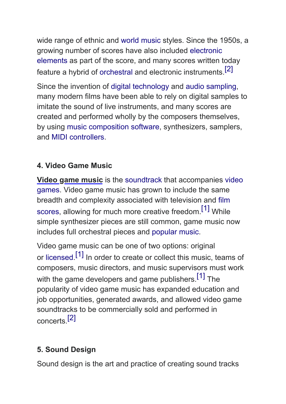wide range of ethnic and [world music](https://en.wikipedia.org/wiki/World_music) styles. Since the 1950s, a growing number of scores have also included [electronic](https://en.wikipedia.org/wiki/Electronica)  [elements](https://en.wikipedia.org/wiki/Electronica) as part of the score, and many scores written today feature a hybrid of [orchestral](https://en.wikipedia.org/wiki/Orchestra) and electronic instruments.[\[2\]](https://en.wikipedia.org/wiki/Film_score#cite_note-2)

Since the invention of [digital technology](https://en.wikipedia.org/wiki/Digital_data) and [audio sampling](https://en.wikipedia.org/wiki/Sampling_(music)), many modern films have been able to rely on digital samples to imitate the sound of live instruments, and many scores are created and performed wholly by the composers themselves, by using [music composition software,](https://en.wikipedia.org/wiki/Scorewriter) synthesizers, samplers, and [MIDI controllers](https://en.wikipedia.org/wiki/MIDI_controllers).

## **4. Video Game Music**

**Video game music** is the [soundtrack](https://en.wikipedia.org/wiki/Soundtrack) that accompanies [video](https://en.wikipedia.org/wiki/Video_game)  [games.](https://en.wikipedia.org/wiki/Video_game) Video game music has grown to include the same breadth and complexity associated with television and [film](https://en.wikipedia.org/wiki/Film_score)  [scores](https://en.wikipedia.org/wiki/Film_score), allowing for much more creative freedom.<sup>[\[1\]](https://en.wikipedia.org/wiki/Video_game_music#cite_note-:1-1)</sup> While simple synthesizer pieces are still common, game music now includes full orchestral pieces and [popular music.](https://en.wikipedia.org/wiki/Popular_music)

Video game music can be one of two options: original or [licensed.](https://en.wikipedia.org/wiki/Music_licensing)<sup>[\[1\]](https://en.wikipedia.org/wiki/Video_game_music#cite_note-:1-1)</sup> In order to create or collect this music, teams of composers, music directors, and music supervisors must work with the game developers and game publishers.<sup>[1]</sup> The popularity of video game music has expanded education and job opportunities, generated awards, and allowed video game soundtracks to be commercially sold and performed in concerts[.\[2\]](https://en.wikipedia.org/wiki/Video_game_music#cite_note-2)

# **5. Sound Design**

Sound design is the art and practice of creating sound tracks